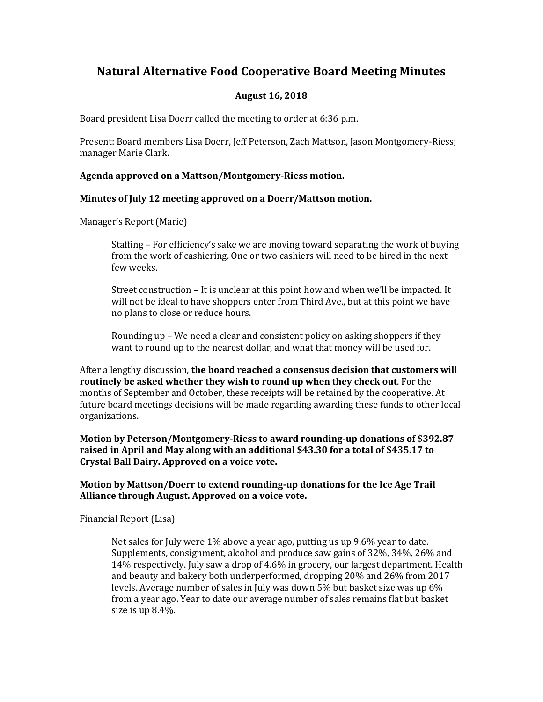# **Natural Alternative Food Cooperative Board Meeting Minutes**

## **August 16, 2018**

Board president Lisa Doerr called the meeting to order at 6:36 p.m.

Present: Board members Lisa Doerr, Jeff Peterson, Zach Mattson, Jason Montgomery-Riess; manager Marie Clark.

### **Agenda approved on a Mattson/Montgomery-Riess motion.**

### **Minutes of July 12 meeting approved on a Doerr/Mattson motion.**

Manager's Report (Marie)

Staffing – For efficiency's sake we are moving toward separating the work of buying from the work of cashiering. One or two cashiers will need to be hired in the next few weeks.

Street construction – It is unclear at this point how and when we'll be impacted. It will not be ideal to have shoppers enter from Third Ave., but at this point we have no plans to close or reduce hours.

Rounding up – We need a clear and consistent policy on asking shoppers if they want to round up to the nearest dollar, and what that money will be used for.

After a lengthy discussion, **the board reached a consensus decision that customers will routinely be asked whether they wish to round up when they check out**. For the months of September and October, these receipts will be retained by the cooperative. At future board meetings decisions will be made regarding awarding these funds to other local organizations.

**Motion by Peterson/Montgomery-Riess to award rounding-up donations of \$392.87 raised in April and May along with an additional \$43.30 for a total of \$435.17 to Crystal Ball Dairy. Approved on a voice vote.** 

### **Motion by Mattson/Doerr to extend rounding-up donations for the Ice Age Trail Alliance through August. Approved on a voice vote.**

Financial Report (Lisa)

Net sales for July were 1% above a year ago, putting us up 9.6% year to date. Supplements, consignment, alcohol and produce saw gains of 32%, 34%, 26% and 14% respectively. July saw a drop of 4.6% in grocery, our largest department. Health and beauty and bakery both underperformed, dropping 20% and 26% from 2017 levels. Average number of sales in July was down 5% but basket size was up 6% from a year ago. Year to date our average number of sales remains flat but basket size is up 8.4%.